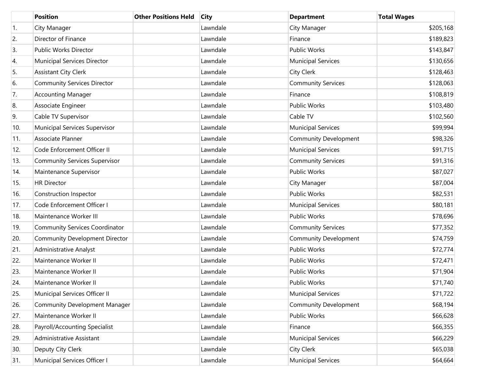|     | <b>Position</b>                       | <b>Other Positions Held</b> | <b>City</b> | <b>Department</b>            | <b>Total Wages</b> |
|-----|---------------------------------------|-----------------------------|-------------|------------------------------|--------------------|
| 1.  | City Manager                          |                             | Lawndale    | City Manager                 | \$205,168          |
| 2.  | Director of Finance                   |                             | Lawndale    | Finance                      | \$189,823          |
| 3.  | Public Works Director                 |                             | Lawndale    | <b>Public Works</b>          | \$143,847          |
| 4.  | Municipal Services Director           |                             | Lawndale    | <b>Municipal Services</b>    | \$130,656          |
| 5.  | <b>Assistant City Clerk</b>           |                             | Lawndale    | City Clerk                   | \$128,463          |
| 6.  | <b>Community Services Director</b>    |                             | Lawndale    | <b>Community Services</b>    | \$128,063          |
| 7.  | <b>Accounting Manager</b>             |                             | Lawndale    | Finance                      | \$108,819          |
| 8.  | Associate Engineer                    |                             | Lawndale    | <b>Public Works</b>          | \$103,480          |
| 9.  | Cable TV Supervisor                   |                             | Lawndale    | Cable TV                     | \$102,560          |
| 10. | Municipal Services Supervisor         |                             | Lawndale    | <b>Municipal Services</b>    | \$99,994           |
| 11. | Associate Planner                     |                             | Lawndale    | Community Development        | \$98,326           |
| 12. | Code Enforcement Officer II           |                             | Lawndale    | <b>Municipal Services</b>    | \$91,715           |
| 13. | <b>Community Services Supervisor</b>  |                             | Lawndale    | <b>Community Services</b>    | \$91,316           |
| 14. | Maintenance Supervisor                |                             | Lawndale    | <b>Public Works</b>          | \$87,027           |
| 15. | <b>HR Director</b>                    |                             | Lawndale    | City Manager                 | \$87,004           |
| 16. | Construction Inspector                |                             | Lawndale    | <b>Public Works</b>          | \$82,531           |
| 17. | Code Enforcement Officer I            |                             | Lawndale    | <b>Municipal Services</b>    | \$80,181           |
| 18. | Maintenance Worker III                |                             | Lawndale    | <b>Public Works</b>          | \$78,696           |
| 19. | <b>Community Services Coordinator</b> |                             | Lawndale    | <b>Community Services</b>    | \$77,352           |
| 20. | <b>Community Development Director</b> |                             | Lawndale    | <b>Community Development</b> | \$74,759           |
| 21. | <b>Administrative Analyst</b>         |                             | Lawndale    | <b>Public Works</b>          | \$72,774           |
| 22. | Maintenance Worker II                 |                             | Lawndale    | <b>Public Works</b>          | \$72,471           |
| 23. | Maintenance Worker II                 |                             | Lawndale    | <b>Public Works</b>          | \$71,904           |
| 24. | Maintenance Worker II                 |                             | Lawndale    | <b>Public Works</b>          | \$71,740           |
| 25. | Municipal Services Officer II         |                             | Lawndale    | <b>Municipal Services</b>    | \$71,722           |
| 26. | <b>Community Development Manager</b>  |                             | Lawndale    | <b>Community Development</b> | \$68,194           |
| 27. | Maintenance Worker II                 |                             | Lawndale    | Public Works                 | \$66,628           |
| 28. | Payroll/Accounting Specialist         |                             | Lawndale    | Finance                      | \$66,355           |
| 29. | Administrative Assistant              |                             | Lawndale    | <b>Municipal Services</b>    | \$66,229           |
| 30. | Deputy City Clerk                     |                             | Lawndale    | City Clerk                   | \$65,038           |
| 31. | Municipal Services Officer I          |                             | Lawndale    | <b>Municipal Services</b>    | \$64,664           |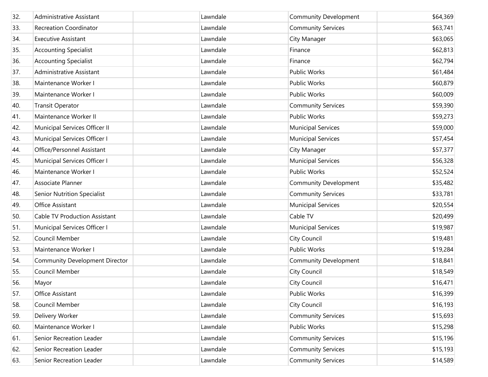| 32. | Administrative Assistant              | Lawndale | <b>Community Development</b> | \$64,369 |
|-----|---------------------------------------|----------|------------------------------|----------|
| 33. | <b>Recreation Coordinator</b>         | Lawndale | <b>Community Services</b>    | \$63,741 |
| 34. | <b>Executive Assistant</b>            | Lawndale | City Manager                 | \$63,065 |
| 35. | <b>Accounting Specialist</b>          | Lawndale | Finance                      | \$62,813 |
| 36. | <b>Accounting Specialist</b>          | Lawndale | Finance                      | \$62,794 |
| 37. | Administrative Assistant              | Lawndale | <b>Public Works</b>          | \$61,484 |
| 38. | Maintenance Worker I                  | Lawndale | <b>Public Works</b>          | \$60,879 |
| 39. | Maintenance Worker I                  | Lawndale | <b>Public Works</b>          | \$60,009 |
| 40. | <b>Transit Operator</b>               | Lawndale | <b>Community Services</b>    | \$59,390 |
| 41. | Maintenance Worker II                 | Lawndale | <b>Public Works</b>          | \$59,273 |
| 42. | Municipal Services Officer II         | Lawndale | <b>Municipal Services</b>    | \$59,000 |
| 43. | Municipal Services Officer I          | Lawndale | <b>Municipal Services</b>    | \$57,454 |
| 44. | Office/Personnel Assistant            | Lawndale | City Manager                 | \$57,377 |
| 45. | Municipal Services Officer I          | Lawndale | <b>Municipal Services</b>    | \$56,328 |
| 46. | Maintenance Worker I                  | Lawndale | <b>Public Works</b>          | \$52,524 |
| 47. | Associate Planner                     | Lawndale | <b>Community Development</b> | \$35,482 |
| 48. | <b>Senior Nutrition Specialist</b>    | Lawndale | <b>Community Services</b>    | \$33,781 |
| 49. | Office Assistant                      | Lawndale | <b>Municipal Services</b>    | \$20,554 |
| 50. | <b>Cable TV Production Assistant</b>  | Lawndale | Cable TV                     | \$20,499 |
| 51. | Municipal Services Officer I          | Lawndale | <b>Municipal Services</b>    | \$19,987 |
| 52. | Council Member                        | Lawndale | <b>City Council</b>          | \$19,481 |
| 53. | Maintenance Worker I                  | Lawndale | <b>Public Works</b>          | \$19,284 |
| 54. | <b>Community Development Director</b> | Lawndale | <b>Community Development</b> | \$18,841 |
| 55. | Council Member                        | Lawndale | <b>City Council</b>          | \$18,549 |
| 56. | Mayor                                 | Lawndale | <b>City Council</b>          | \$16,471 |
| 57. | Office Assistant                      | Lawndale | <b>Public Works</b>          | \$16,399 |
| 58. | Council Member                        | Lawndale | City Council                 | \$16,193 |
| 59. | Delivery Worker                       | Lawndale | <b>Community Services</b>    | \$15,693 |
| 60. | Maintenance Worker I                  | Lawndale | Public Works                 | \$15,298 |
| 61. | Senior Recreation Leader              | Lawndale | <b>Community Services</b>    | \$15,196 |
| 62. | Senior Recreation Leader              | Lawndale | <b>Community Services</b>    | \$15,193 |
| 63. | Senior Recreation Leader              | Lawndale | <b>Community Services</b>    | \$14,589 |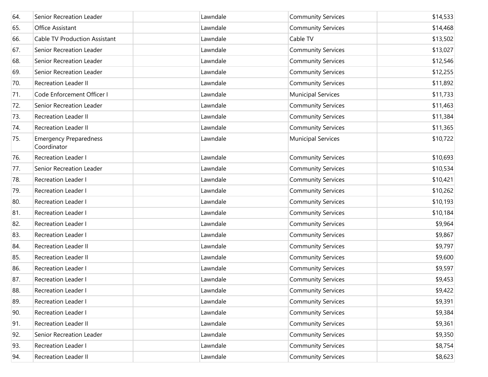| 64. | Senior Recreation Leader                     | Lawndale | <b>Community Services</b> | \$14,533 |
|-----|----------------------------------------------|----------|---------------------------|----------|
| 65. | Office Assistant                             | Lawndale | <b>Community Services</b> | \$14,468 |
| 66. | <b>Cable TV Production Assistant</b>         | Lawndale | Cable TV                  | \$13,502 |
| 67. | Senior Recreation Leader                     | Lawndale | <b>Community Services</b> | \$13,027 |
| 68. | Senior Recreation Leader                     | Lawndale | <b>Community Services</b> | \$12,546 |
| 69. | Senior Recreation Leader                     | Lawndale | <b>Community Services</b> | \$12,255 |
| 70. | <b>Recreation Leader II</b>                  | Lawndale | <b>Community Services</b> | \$11,892 |
| 71. | Code Enforcement Officer I                   | Lawndale | <b>Municipal Services</b> | \$11,733 |
| 72. | Senior Recreation Leader                     | Lawndale | <b>Community Services</b> | \$11,463 |
| 73. | <b>Recreation Leader II</b>                  | Lawndale | <b>Community Services</b> | \$11,384 |
| 74. | <b>Recreation Leader II</b>                  | Lawndale | <b>Community Services</b> | \$11,365 |
| 75. | <b>Emergency Preparedness</b><br>Coordinator | Lawndale | <b>Municipal Services</b> | \$10,722 |
| 76. | <b>Recreation Leader I</b>                   | Lawndale | <b>Community Services</b> | \$10,693 |
| 77. | Senior Recreation Leader                     | Lawndale | <b>Community Services</b> | \$10,534 |
| 78. | Recreation Leader I                          | Lawndale | <b>Community Services</b> | \$10,421 |
| 79. | <b>Recreation Leader I</b>                   | Lawndale | <b>Community Services</b> | \$10,262 |
| 80. | Recreation Leader I                          | Lawndale | <b>Community Services</b> | \$10,193 |
| 81. | <b>Recreation Leader I</b>                   | Lawndale | <b>Community Services</b> | \$10,184 |
| 82. | Recreation Leader I                          | Lawndale | <b>Community Services</b> | \$9,964  |
| 83. | Recreation Leader I                          | Lawndale | <b>Community Services</b> | \$9,867  |
| 84. | <b>Recreation Leader II</b>                  | Lawndale | <b>Community Services</b> | \$9,797  |
| 85. | <b>Recreation Leader II</b>                  | Lawndale | <b>Community Services</b> | \$9,600  |
| 86. | <b>Recreation Leader I</b>                   | Lawndale | <b>Community Services</b> | \$9,597  |
| 87. | <b>Recreation Leader I</b>                   | Lawndale | <b>Community Services</b> | \$9,453  |
| 88. | Recreation Leader I                          | Lawndale | <b>Community Services</b> | \$9,422  |
| 89. | Recreation Leader I                          | Lawndale | <b>Community Services</b> | \$9,391  |
| 90. | Recreation Leader I                          | Lawndale | <b>Community Services</b> | \$9,384  |
| 91. | Recreation Leader II                         | Lawndale | <b>Community Services</b> | \$9,361  |
| 92. | Senior Recreation Leader                     | Lawndale | <b>Community Services</b> | \$9,350  |
| 93. | Recreation Leader I                          | Lawndale | <b>Community Services</b> | \$8,754  |
| 94. | Recreation Leader II                         | Lawndale | <b>Community Services</b> | \$8,623  |